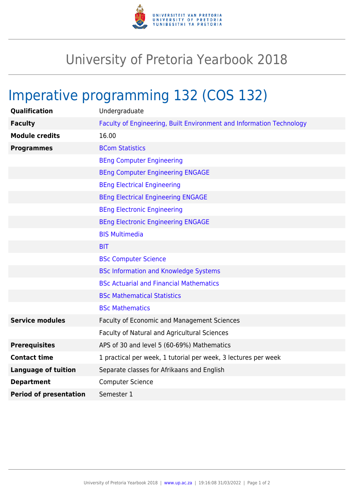

## University of Pretoria Yearbook 2018

## Imperative programming 132 (COS 132)

| <b>Qualification</b>          | Undergraduate                                                        |
|-------------------------------|----------------------------------------------------------------------|
| <b>Faculty</b>                | Faculty of Engineering, Built Environment and Information Technology |
| <b>Module credits</b>         | 16.00                                                                |
| <b>Programmes</b>             | <b>BCom Statistics</b>                                               |
|                               | <b>BEng Computer Engineering</b>                                     |
|                               | <b>BEng Computer Engineering ENGAGE</b>                              |
|                               | <b>BEng Electrical Engineering</b>                                   |
|                               | <b>BEng Electrical Engineering ENGAGE</b>                            |
|                               | <b>BEng Electronic Engineering</b>                                   |
|                               | <b>BEng Electronic Engineering ENGAGE</b>                            |
|                               | <b>BIS Multimedia</b>                                                |
|                               | <b>BIT</b>                                                           |
|                               | <b>BSc Computer Science</b>                                          |
|                               | <b>BSc Information and Knowledge Systems</b>                         |
|                               | <b>BSc Actuarial and Financial Mathematics</b>                       |
|                               | <b>BSc Mathematical Statistics</b>                                   |
|                               | <b>BSc Mathematics</b>                                               |
| <b>Service modules</b>        | Faculty of Economic and Management Sciences                          |
|                               | Faculty of Natural and Agricultural Sciences                         |
| <b>Prerequisites</b>          | APS of 30 and level 5 (60-69%) Mathematics                           |
| <b>Contact time</b>           | 1 practical per week, 1 tutorial per week, 3 lectures per week       |
| <b>Language of tuition</b>    | Separate classes for Afrikaans and English                           |
| <b>Department</b>             | <b>Computer Science</b>                                              |
| <b>Period of presentation</b> | Semester 1                                                           |